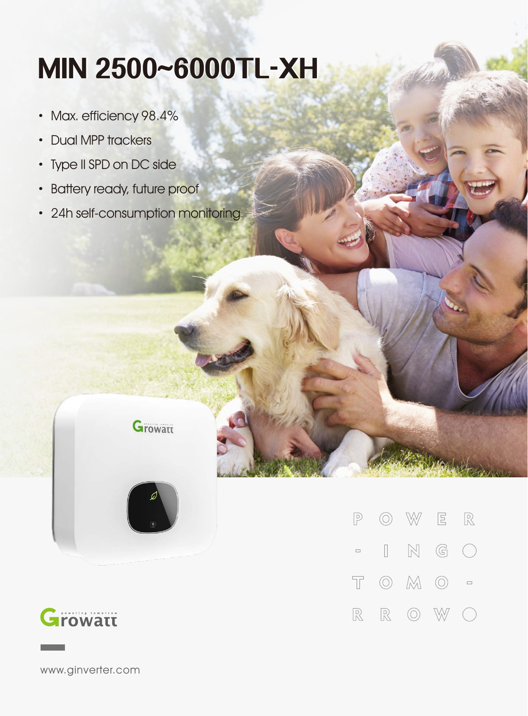## **MIN2500~6000TL-XH**

- · Max. efficiency 98.4%
- · Dual MPP trackers
- · Type II SPD on DC side
- · Battery ready, future proof
- 24h self-consumption monitoring

**Growatt** 





www.ginverter.com